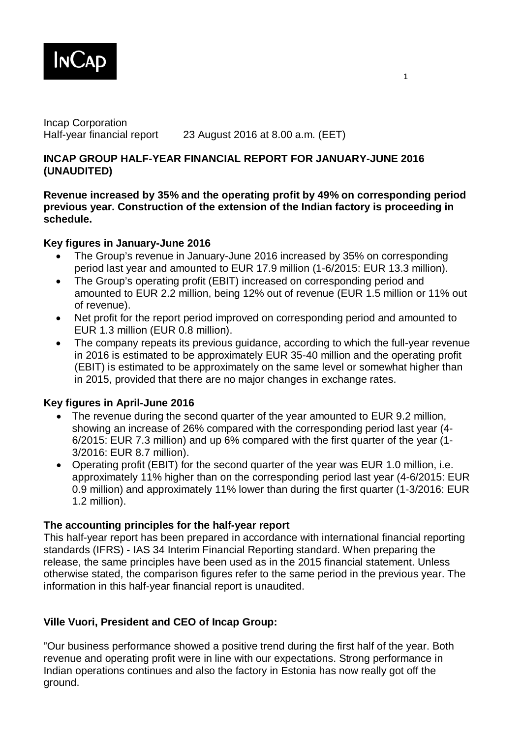

Incap Corporation Half-year financial report 23 August 2016 at 8.00 a.m. (EET)

### **INCAP GROUP HALF-YEAR FINANCIAL REPORT FOR JANUARY-JUNE 2016 (UNAUDITED)**

### **Revenue increased by 35% and the operating profit by 49% on corresponding period previous year. Construction of the extension of the Indian factory is proceeding in schedule.**

### **Key figures in January-June 2016**

- The Group's revenue in January-June 2016 increased by 35% on corresponding period last year and amounted to EUR 17.9 million (1-6/2015: EUR 13.3 million).
- The Group's operating profit (EBIT) increased on corresponding period and amounted to EUR 2.2 million, being 12% out of revenue (EUR 1.5 million or 11% out of revenue).
- Net profit for the report period improved on corresponding period and amounted to EUR 1.3 million (EUR 0.8 million).
- The company repeats its previous guidance, according to which the full-year revenue in 2016 is estimated to be approximately EUR 35-40 million and the operating profit (EBIT) is estimated to be approximately on the same level or somewhat higher than in 2015, provided that there are no major changes in exchange rates.

# **Key figures in April-June 2016**

- The revenue during the second quarter of the year amounted to EUR 9.2 million, showing an increase of 26% compared with the corresponding period last year (4- 6/2015: EUR 7.3 million) and up 6% compared with the first quarter of the year (1- 3/2016: EUR 8.7 million).
- Operating profit (EBIT) for the second quarter of the year was EUR 1.0 million, i.e. approximately 11% higher than on the corresponding period last year (4-6/2015: EUR 0.9 million) and approximately 11% lower than during the first quarter (1-3/2016: EUR 1.2 million).

### **The accounting principles for the half-year report**

This half-year report has been prepared in accordance with international financial reporting standards (IFRS) - IAS 34 Interim Financial Reporting standard. When preparing the release, the same principles have been used as in the 2015 financial statement. Unless otherwise stated, the comparison figures refer to the same period in the previous year. The information in this half-year financial report is unaudited.

# **Ville Vuori, President and CEO of Incap Group:**

"Our business performance showed a positive trend during the first half of the year. Both revenue and operating profit were in line with our expectations. Strong performance in Indian operations continues and also the factory in Estonia has now really got off the ground.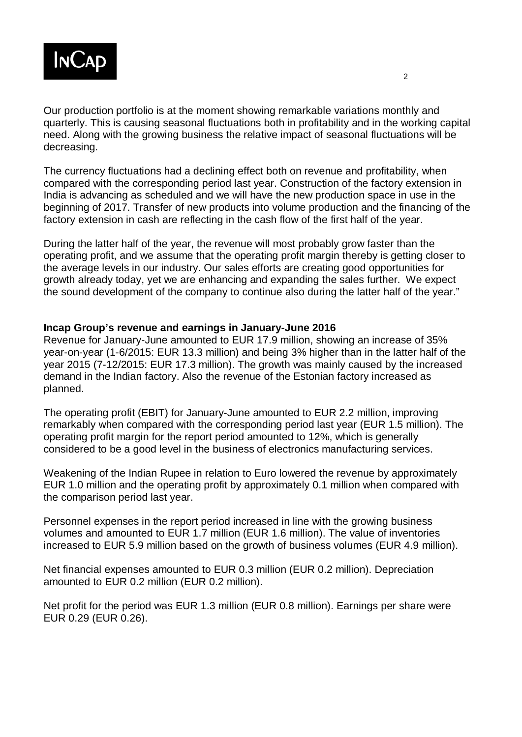

Our production portfolio is at the moment showing remarkable variations monthly and quarterly. This is causing seasonal fluctuations both in profitability and in the working capital need. Along with the growing business the relative impact of seasonal fluctuations will be decreasing.

The currency fluctuations had a declining effect both on revenue and profitability, when compared with the corresponding period last year. Construction of the factory extension in India is advancing as scheduled and we will have the new production space in use in the beginning of 2017. Transfer of new products into volume production and the financing of the factory extension in cash are reflecting in the cash flow of the first half of the year.

During the latter half of the year, the revenue will most probably grow faster than the operating profit, and we assume that the operating profit margin thereby is getting closer to the average levels in our industry. Our sales efforts are creating good opportunities for growth already today, yet we are enhancing and expanding the sales further. We expect the sound development of the company to continue also during the latter half of the year."

#### **Incap Group's revenue and earnings in January-June 2016**

Revenue for January-June amounted to EUR 17.9 million, showing an increase of 35% year-on-year (1-6/2015: EUR 13.3 million) and being 3% higher than in the latter half of the year 2015 (7-12/2015: EUR 17.3 million). The growth was mainly caused by the increased demand in the Indian factory. Also the revenue of the Estonian factory increased as planned.

The operating profit (EBIT) for January-June amounted to EUR 2.2 million, improving remarkably when compared with the corresponding period last year (EUR 1.5 million). The operating profit margin for the report period amounted to 12%, which is generally considered to be a good level in the business of electronics manufacturing services.

Weakening of the Indian Rupee in relation to Euro lowered the revenue by approximately EUR 1.0 million and the operating profit by approximately 0.1 million when compared with the comparison period last year.

Personnel expenses in the report period increased in line with the growing business volumes and amounted to EUR 1.7 million (EUR 1.6 million). The value of inventories increased to EUR 5.9 million based on the growth of business volumes (EUR 4.9 million).

Net financial expenses amounted to EUR 0.3 million (EUR 0.2 million). Depreciation amounted to EUR 0.2 million (EUR 0.2 million).

Net profit for the period was EUR 1.3 million (EUR 0.8 million). Earnings per share were EUR 0.29 (EUR 0.26).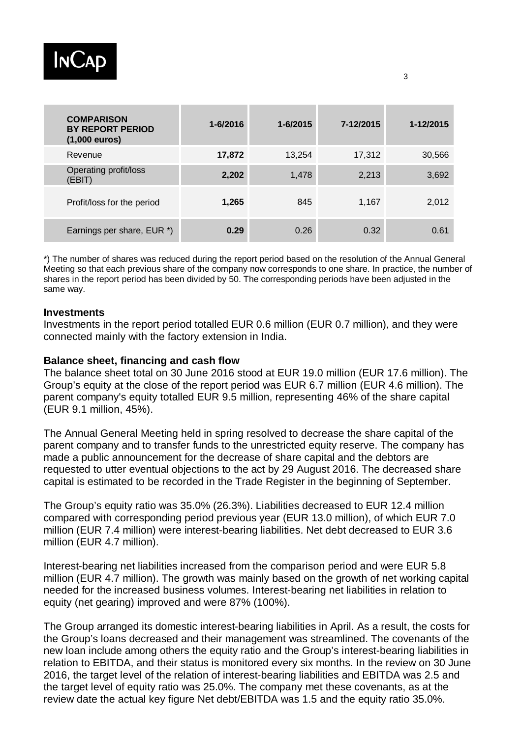

| <b>COMPARISON</b><br><b>BY REPORT PERIOD</b><br>$(1,000$ euros) | $1 - 6/2016$ | 1-6/2015 | 7-12/2015 | 1-12/2015 |
|-----------------------------------------------------------------|--------------|----------|-----------|-----------|
| Revenue                                                         | 17,872       | 13,254   | 17,312    | 30,566    |
| Operating profit/loss<br>(EBIT)                                 | 2,202        | 1,478    | 2,213     | 3,692     |
| Profit/loss for the period                                      | 1,265        | 845      | 1,167     | 2,012     |
| Earnings per share, EUR *)                                      | 0.29         | 0.26     | 0.32      | 0.61      |

\*) The number of shares was reduced during the report period based on the resolution of the Annual General Meeting so that each previous share of the company now corresponds to one share. In practice, the number of shares in the report period has been divided by 50. The corresponding periods have been adjusted in the same way.

#### **Investments**

Investments in the report period totalled EUR 0.6 million (EUR 0.7 million), and they were connected mainly with the factory extension in India.

#### **Balance sheet, financing and cash flow**

The balance sheet total on 30 June 2016 stood at EUR 19.0 million (EUR 17.6 million). The Group's equity at the close of the report period was EUR 6.7 million (EUR 4.6 million). The parent company's equity totalled EUR 9.5 million, representing 46% of the share capital (EUR 9.1 million, 45%).

The Annual General Meeting held in spring resolved to decrease the share capital of the parent company and to transfer funds to the unrestricted equity reserve. The company has made a public announcement for the decrease of share capital and the debtors are requested to utter eventual objections to the act by 29 August 2016. The decreased share capital is estimated to be recorded in the Trade Register in the beginning of September.

The Group's equity ratio was 35.0% (26.3%). Liabilities decreased to EUR 12.4 million compared with corresponding period previous year (EUR 13.0 million), of which EUR 7.0 million (EUR 7.4 million) were interest-bearing liabilities. Net debt decreased to EUR 3.6 million (EUR 4.7 million).

Interest-bearing net liabilities increased from the comparison period and were EUR 5.8 million (EUR 4.7 million). The growth was mainly based on the growth of net working capital needed for the increased business volumes. Interest-bearing net liabilities in relation to equity (net gearing) improved and were 87% (100%).

The Group arranged its domestic interest-bearing liabilities in April. As a result, the costs for the Group's loans decreased and their management was streamlined. The covenants of the new loan include among others the equity ratio and the Group's interest-bearing liabilities in relation to EBITDA, and their status is monitored every six months. In the review on 30 June 2016, the target level of the relation of interest-bearing liabilities and EBITDA was 2.5 and the target level of equity ratio was 25.0%. The company met these covenants, as at the review date the actual key figure Net debt/EBITDA was 1.5 and the equity ratio 35.0%.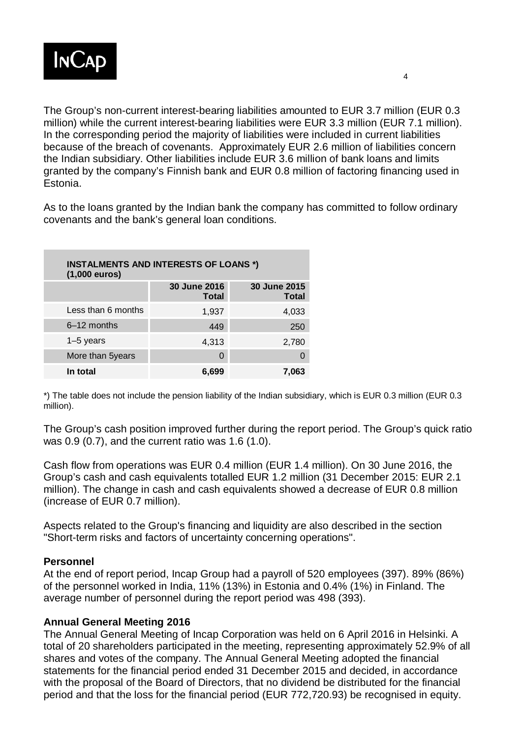

The Group's non-current interest-bearing liabilities amounted to EUR 3.7 million (EUR 0.3 million) while the current interest-bearing liabilities were EUR 3.3 million (EUR 7.1 million). In the corresponding period the majority of liabilities were included in current liabilities because of the breach of covenants. Approximately EUR 2.6 million of liabilities concern the Indian subsidiary. Other liabilities include EUR 3.6 million of bank loans and limits granted by the company's Finnish bank and EUR 0.8 million of factoring financing used in Estonia.

As to the loans granted by the Indian bank the company has committed to follow ordinary covenants and the bank's general loan conditions.

| <b>INSTALMENTS AND INTERESTS OF LOANS *)</b><br>$(1,000 \text{ euros})$ |                              |                              |  |
|-------------------------------------------------------------------------|------------------------------|------------------------------|--|
|                                                                         | 30 June 2016<br><b>Total</b> | 30 June 2015<br><b>Total</b> |  |
| Less than 6 months                                                      | 1,937                        | 4,033                        |  |
| $6-12$ months                                                           | 449                          | 250                          |  |
| $1-5$ years                                                             | 4,313                        | 2,780                        |  |
| More than 5years                                                        | 0                            |                              |  |
| In total                                                                | 6,699                        | 7,063                        |  |

\*) The table does not include the pension liability of the Indian subsidiary, which is EUR 0.3 million (EUR 0.3 million).

The Group's cash position improved further during the report period. The Group's quick ratio was 0.9 (0.7), and the current ratio was 1.6 (1.0).

Cash flow from operations was EUR 0.4 million (EUR 1.4 million). On 30 June 2016, the Group's cash and cash equivalents totalled EUR 1.2 million (31 December 2015: EUR 2.1 million). The change in cash and cash equivalents showed a decrease of EUR 0.8 million (increase of EUR 0.7 million).

Aspects related to the Group's financing and liquidity are also described in the section "Short-term risks and factors of uncertainty concerning operations".

### **Personnel**

At the end of report period, Incap Group had a payroll of 520 employees (397). 89% (86%) of the personnel worked in India, 11% (13%) in Estonia and 0.4% (1%) in Finland. The average number of personnel during the report period was 498 (393).

# **Annual General Meeting 2016**

The Annual General Meeting of Incap Corporation was held on 6 April 2016 in Helsinki. A total of 20 shareholders participated in the meeting, representing approximately 52.9% of all shares and votes of the company. The Annual General Meeting adopted the financial statements for the financial period ended 31 December 2015 and decided, in accordance with the proposal of the Board of Directors, that no dividend be distributed for the financial period and that the loss for the financial period (EUR 772,720.93) be recognised in equity.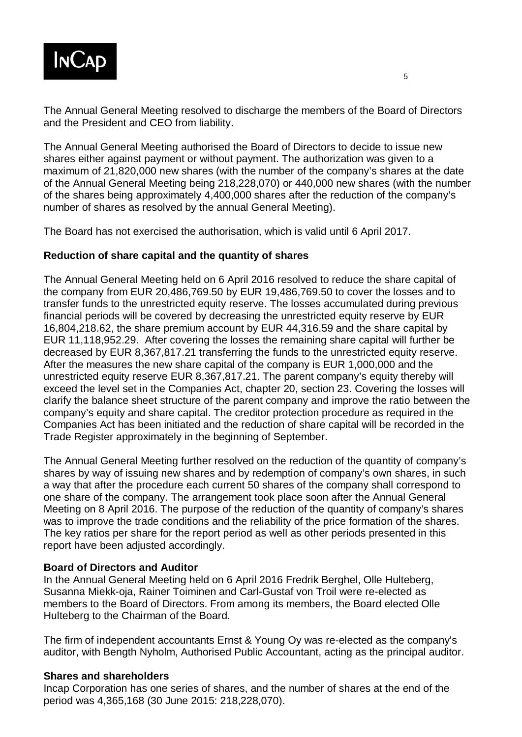

The Annual General Meeting resolved to discharge the members of the Board of Directors and the President and CEO from liability.

The Annual General Meeting authorised the Board of Directors to decide to issue new shares either against payment or without payment. The authorization was given to a maximum of 21,820,000 new shares (with the number of the company's shares at the date of the Annual General Meeting being 218,228,070) or 440,000 new shares (with the number of the shares being approximately 4,400,000 shares after the reduction of the company's number of shares as resolved by the annual General Meeting).

The Board has not exercised the authorisation, which is valid until 6 April 2017.

### **Reduction of share capital and the quantity of shares**

The Annual General Meeting held on 6 April 2016 resolved to reduce the share capital of the company from EUR 20,486,769.50 by EUR 19,486,769.50 to cover the losses and to transfer funds to the unrestricted equity reserve. The losses accumulated during previous financial periods will be covered by decreasing the unrestricted equity reserve by EUR 16,804,218.62, the share premium account by EUR 44,316.59 and the share capital by EUR 11,118,952.29. After covering the losses the remaining share capital will further be decreased by EUR 8,367,817.21 transferring the funds to the unrestricted equity reserve. After the measures the new share capital of the company is EUR 1,000,000 and the unrestricted equity reserve EUR 8,367,817.21. The parent company's equity thereby will exceed the level set in the Companies Act, chapter 20, section 23. Covering the losses will clarify the balance sheet structure of the parent company and improve the ratio between the company's equity and share capital. The creditor protection procedure as required in the Companies Act has been initiated and the reduction of share capital will be recorded in the Trade Register approximately in the beginning of September.

The Annual General Meeting further resolved on the reduction of the quantity of company's shares by way of issuing new shares and by redemption of company's own shares, in such a way that after the procedure each current 50 shares of the company shall correspond to one share of the company. The arrangement took place soon after the Annual General Meeting on 8 April 2016. The purpose of the reduction of the quantity of company's shares was to improve the trade conditions and the reliability of the price formation of the shares. The key ratios per share for the report period as well as other periods presented in this report have been adjusted accordingly.

### **Board of Directors and Auditor**

In the Annual General Meeting held on 6 April 2016 Fredrik Berghel, Olle Hulteberg, Susanna Miekk-oja, Rainer Toiminen and Carl-Gustaf von Troil were re-elected as members to the Board of Directors. From among its members, the Board elected Olle Hulteberg to the Chairman of the Board.

The firm of independent accountants Ernst & Young Oy was re-elected as the company's auditor, with Bength Nyholm, Authorised Public Accountant, acting as the principal auditor.

### **Shares and shareholders**

Incap Corporation has one series of shares, and the number of shares at the end of the period was 4,365,168 (30 June 2015: 218,228,070).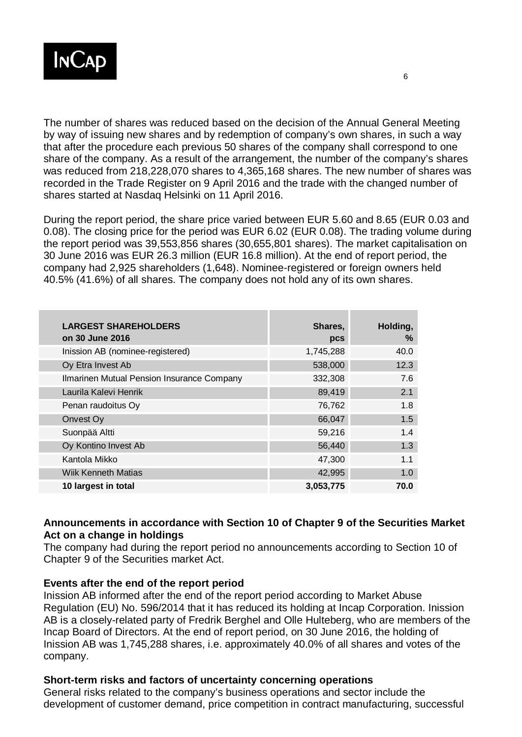

The number of shares was reduced based on the decision of the Annual General Meeting by way of issuing new shares and by redemption of company's own shares, in such a way that after the procedure each previous 50 shares of the company shall correspond to one share of the company. As a result of the arrangement, the number of the company's shares was reduced from 218,228,070 shares to 4,365,168 shares. The new number of shares was recorded in the Trade Register on 9 April 2016 and the trade with the changed number of shares started at Nasdaq Helsinki on 11 April 2016.

During the report period, the share price varied between EUR 5.60 and 8.65 (EUR 0.03 and 0.08). The closing price for the period was EUR 6.02 (EUR 0.08). The trading volume during the report period was 39,553,856 shares (30,655,801 shares). The market capitalisation on 30 June 2016 was EUR 26.3 million (EUR 16.8 million). At the end of report period, the company had 2,925 shareholders (1,648). Nominee-registered or foreign owners held 40.5% (41.6%) of all shares. The company does not hold any of its own shares.

| <b>LARGEST SHAREHOLDERS</b><br>on 30 June 2016 | Shares,<br>pcs | Holding,<br>% |
|------------------------------------------------|----------------|---------------|
| Inission AB (nominee-registered)               | 1,745,288      | 40.0          |
| Oy Etra Invest Ab                              | 538,000        | 12.3          |
| Ilmarinen Mutual Pension Insurance Company     | 332,308        | 7.6           |
| Laurila Kalevi Henrik                          | 89,419         | 2.1           |
| Penan raudoitus Oy                             | 76,762         | 1.8           |
| Onvest Oy                                      | 66,047         | 1.5           |
| Suonpää Altti                                  | 59,216         | 1.4           |
| Oy Kontino Invest Ab                           | 56,440         | 1.3           |
| Kantola Mikko                                  | 47,300         | 1.1           |
| <b>Wiik Kenneth Matias</b>                     | 42,995         | 1.0           |
| 10 largest in total                            | 3,053,775      | 70.0          |

### **Announcements in accordance with Section 10 of Chapter 9 of the Securities Market Act on a change in holdings**

The company had during the report period no announcements according to Section 10 of Chapter 9 of the Securities market Act.

### **Events after the end of the report period**

Inission AB informed after the end of the report period according to Market Abuse Regulation (EU) No. 596/2014 that it has reduced its holding at Incap Corporation. Inission AB is a closely-related party of Fredrik Berghel and Olle Hulteberg, who are members of the Incap Board of Directors. At the end of report period, on 30 June 2016, the holding of Inission AB was 1,745,288 shares, i.e. approximately 40.0% of all shares and votes of the company.

### **Short-term risks and factors of uncertainty concerning operations**

General risks related to the company's business operations and sector include the development of customer demand, price competition in contract manufacturing, successful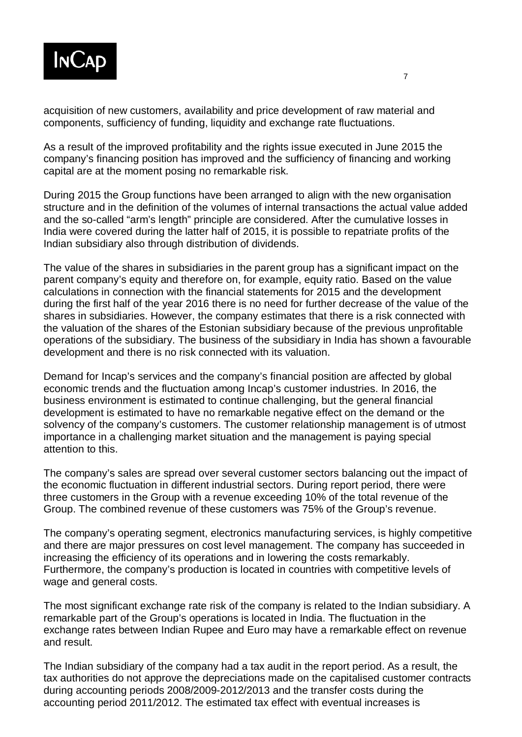

acquisition of new customers, availability and price development of raw material and components, sufficiency of funding, liquidity and exchange rate fluctuations.

As a result of the improved profitability and the rights issue executed in June 2015 the company's financing position has improved and the sufficiency of financing and working capital are at the moment posing no remarkable risk.

During 2015 the Group functions have been arranged to align with the new organisation structure and in the definition of the volumes of internal transactions the actual value added and the so-called "arm's length" principle are considered. After the cumulative losses in India were covered during the latter half of 2015, it is possible to repatriate profits of the Indian subsidiary also through distribution of dividends.

The value of the shares in subsidiaries in the parent group has a significant impact on the parent company's equity and therefore on, for example, equity ratio. Based on the value calculations in connection with the financial statements for 2015 and the development during the first half of the year 2016 there is no need for further decrease of the value of the shares in subsidiaries. However, the company estimates that there is a risk connected with the valuation of the shares of the Estonian subsidiary because of the previous unprofitable operations of the subsidiary. The business of the subsidiary in India has shown a favourable development and there is no risk connected with its valuation.

Demand for Incap's services and the company's financial position are affected by global economic trends and the fluctuation among Incap's customer industries. In 2016, the business environment is estimated to continue challenging, but the general financial development is estimated to have no remarkable negative effect on the demand or the solvency of the company's customers. The customer relationship management is of utmost importance in a challenging market situation and the management is paying special attention to this.

The company's sales are spread over several customer sectors balancing out the impact of the economic fluctuation in different industrial sectors. During report period, there were three customers in the Group with a revenue exceeding 10% of the total revenue of the Group. The combined revenue of these customers was 75% of the Group's revenue.

The company's operating segment, electronics manufacturing services, is highly competitive and there are major pressures on cost level management. The company has succeeded in increasing the efficiency of its operations and in lowering the costs remarkably. Furthermore, the company's production is located in countries with competitive levels of wage and general costs.

The most significant exchange rate risk of the company is related to the Indian subsidiary. A remarkable part of the Group's operations is located in India. The fluctuation in the exchange rates between Indian Rupee and Euro may have a remarkable effect on revenue and result.

The Indian subsidiary of the company had a tax audit in the report period. As a result, the tax authorities do not approve the depreciations made on the capitalised customer contracts during accounting periods 2008/2009-2012/2013 and the transfer costs during the accounting period 2011/2012. The estimated tax effect with eventual increases is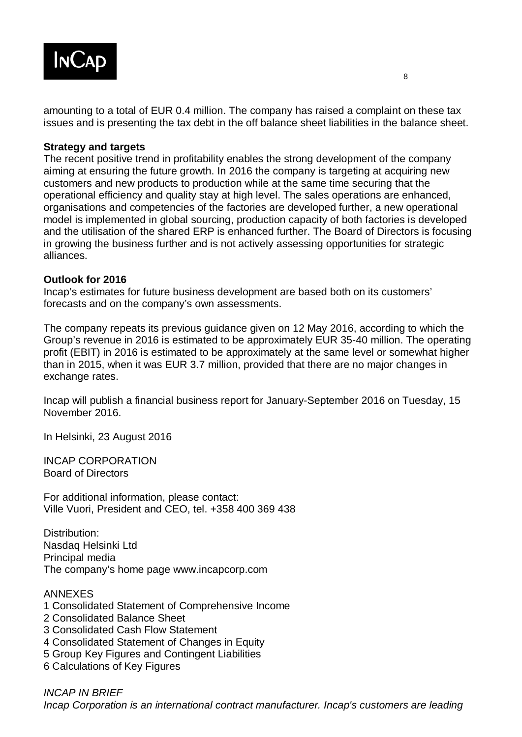

amounting to a total of EUR 0.4 million. The company has raised a complaint on these tax issues and is presenting the tax debt in the off balance sheet liabilities in the balance sheet.

#### **Strategy and targets**

The recent positive trend in profitability enables the strong development of the company aiming at ensuring the future growth. In 2016 the company is targeting at acquiring new customers and new products to production while at the same time securing that the operational efficiency and quality stay at high level. The sales operations are enhanced, organisations and competencies of the factories are developed further, a new operational model is implemented in global sourcing, production capacity of both factories is developed and the utilisation of the shared ERP is enhanced further. The Board of Directors is focusing in growing the business further and is not actively assessing opportunities for strategic alliances.

#### **Outlook for 2016**

Incap's estimates for future business development are based both on its customers' forecasts and on the company's own assessments.

The company repeats its previous guidance given on 12 May 2016, according to which the Group's revenue in 2016 is estimated to be approximately EUR 35-40 million. The operating profit (EBIT) in 2016 is estimated to be approximately at the same level or somewhat higher than in 2015, when it was EUR 3.7 million, provided that there are no major changes in exchange rates.

Incap will publish a financial business report for January-September 2016 on Tuesday, 15 November 2016.

In Helsinki, 23 August 2016

INCAP CORPORATION Board of Directors

For additional information, please contact: Ville Vuori, President and CEO, tel. +358 400 369 438

Distribution: Nasdaq Helsinki Ltd Principal media The company's home page www.incapcorp.com

#### ANNEXES

- 1 Consolidated Statement of Comprehensive Income
- 2 Consolidated Balance Sheet
- 3 Consolidated Cash Flow Statement
- 4 Consolidated Statement of Changes in Equity
- 5 Group Key Figures and Contingent Liabilities
- 6 Calculations of Key Figures

*INCAP IN BRIEF Incap Corporation is an international contract manufacturer. Incap's customers are leading*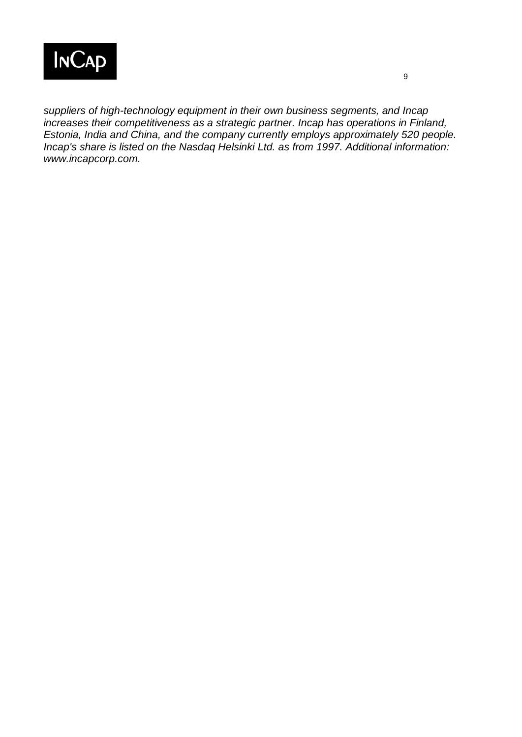

*suppliers of high-technology equipment in their own business segments, and Incap increases their competitiveness as a strategic partner. Incap has operations in Finland, Estonia, India and China, and the company currently employs approximately 520 people. Incap's share is listed on the Nasdaq Helsinki Ltd. as from 1997. Additional information: www.incapcorp.com.*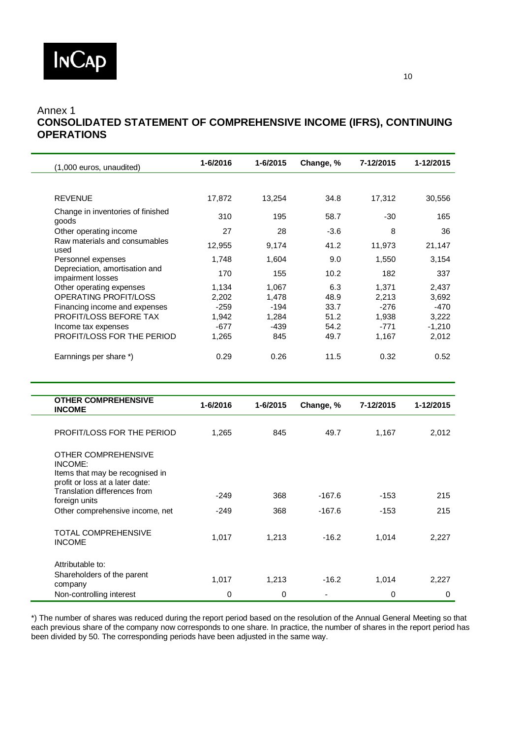

### Annex 1 **CONSOLIDATED STATEMENT OF COMPREHENSIVE INCOME (IFRS), CONTINUING OPERATIONS**

| (1,000 euros, unaudited)                                           | 1-6/2016 | 1-6/2015 | Change, % | 7-12/2015 | 1-12/2015 |
|--------------------------------------------------------------------|----------|----------|-----------|-----------|-----------|
|                                                                    |          |          |           |           |           |
| <b>REVENUE</b>                                                     | 17,872   | 13,254   | 34.8      | 17,312    | 30,556    |
| Change in inventories of finished<br>goods                         | 310      | 195      | 58.7      | $-30$     | 165       |
| Other operating income                                             | 27       | 28       | $-3.6$    | 8         | 36        |
| Raw materials and consumables<br>used                              | 12,955   | 9,174    | 41.2      | 11,973    | 21,147    |
| Personnel expenses                                                 | 1,748    | 1,604    | 9.0       | 1,550     | 3,154     |
| Depreciation, amortisation and<br>impairment losses                | 170      | 155      | 10.2      | 182       | 337       |
| Other operating expenses                                           | 1,134    | 1,067    | 6.3       | 1,371     | 2,437     |
| OPERATING PROFIT/LOSS                                              | 2,202    | 1,478    | 48.9      | 2,213     | 3,692     |
| Financing income and expenses                                      | $-259$   | $-194$   | 33.7      | $-276$    | $-470$    |
| PROFIT/LOSS BEFORE TAX                                             | 1,942    | 1,284    | 51.2      | 1,938     | 3,222     |
| Income tax expenses                                                | $-677$   | -439     | 54.2      | -771      | $-1,210$  |
| PROFIT/LOSS FOR THE PERIOD                                         | 1,265    | 845      | 49.7      | 1,167     | 2,012     |
| Earnnings per share *)                                             | 0.29     | 0.26     | 11.5      | 0.32      | 0.52      |
|                                                                    |          |          |           |           |           |
|                                                                    |          |          |           |           |           |
|                                                                    |          |          |           |           |           |
| <b>OTHER COMPREHENSIVE</b><br><b>INCOME</b>                        | 1-6/2016 | 1-6/2015 | Change, % | 7-12/2015 | 1-12/2015 |
| PROFIT/LOSS FOR THE PERIOD                                         | 1,265    | 845      | 49.7      | 1,167     | 2,012     |
| OTHER COMPREHENSIVE<br>INCOME:                                     |          |          |           |           |           |
| Items that may be recognised in<br>profit or loss at a later date: |          |          |           |           |           |
| Translation differences from                                       | $-249$   | 368      | $-167.6$  | $-153$    | 215       |
| foreign units<br>Other comprehensive income, net                   | $-249$   | 368      | $-167.6$  | $-153$    | 215       |
| TOTAL COMPREHENSIVE<br><b>INCOME</b>                               | 1,017    | 1,213    | $-16.2$   | 1,014     | 2,227     |
| Attributable to:                                                   |          |          |           |           |           |
| Shareholders of the parent<br>company                              | 1,017    | 1,213    | $-16.2$   | 1,014     | 2,227     |

\*) The number of shares was reduced during the report period based on the resolution of the Annual General Meeting so that each previous share of the company now corresponds to one share. In practice, the number of shares in the report period has been divided by 50. The corresponding periods have been adjusted in the same way.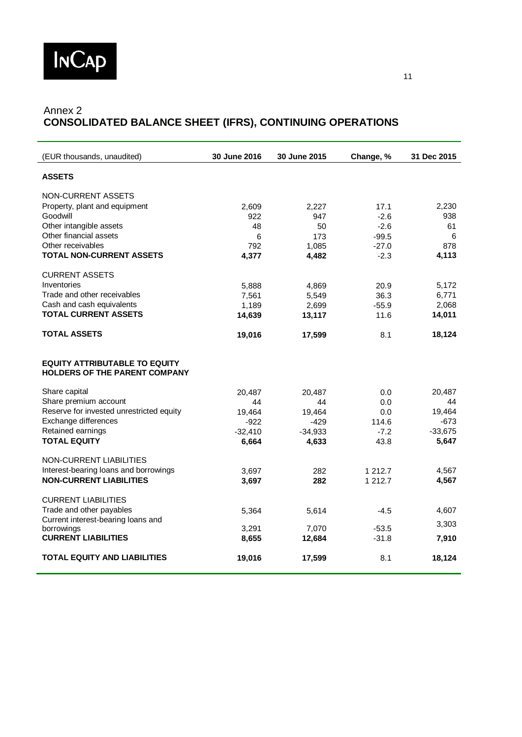

# Annex 2 **CONSOLIDATED BALANCE SHEET (IFRS), CONTINUING OPERATIONS**

| (EUR thousands, unaudited)                                            | <b>30 June 2016</b> | <b>30 June 2015</b> | Change, % | 31 Dec 2015 |
|-----------------------------------------------------------------------|---------------------|---------------------|-----------|-------------|
| <b>ASSETS</b>                                                         |                     |                     |           |             |
| NON-CURRENT ASSETS                                                    |                     |                     |           |             |
| Property, plant and equipment                                         | 2,609               | 2,227               | 17.1      | 2,230       |
| Goodwill                                                              | 922                 | 947                 | $-2.6$    | 938         |
| Other intangible assets                                               | 48                  | 50                  | $-2.6$    | 61          |
| Other financial assets                                                | 6                   | 173                 | $-99.5$   | 6           |
| Other receivables                                                     | 792                 | 1,085               | $-27.0$   | 878         |
| <b>TOTAL NON-CURRENT ASSETS</b>                                       | 4,377               | 4,482               | $-2.3$    | 4,113       |
| <b>CURRENT ASSETS</b>                                                 |                     |                     |           |             |
| Inventories                                                           | 5,888               | 4,869               | 20.9      | 5,172       |
| Trade and other receivables                                           | 7,561               | 5,549               | 36.3      | 6,771       |
| Cash and cash equivalents                                             | 1,189               | 2,699               | $-55.9$   | 2,068       |
| <b>TOTAL CURRENT ASSETS</b>                                           | 14,639              | 13,117              | 11.6      | 14,011      |
| <b>TOTAL ASSETS</b>                                                   | 19,016              | 17,599              | 8.1       | 18,124      |
| <b>EQUITY ATTRIBUTABLE TO EQUITY</b><br>HOLDERS OF THE PARENT COMPANY |                     |                     |           |             |
| Share capital                                                         | 20,487              | 20,487              | 0.0       | 20,487      |
| Share premium account                                                 | 44                  | 44                  | 0.0       | 44          |
| Reserve for invested unrestricted equity                              | 19,464              | 19,464              | 0.0       | 19,464      |
| Exchange differences                                                  | $-922$              | $-429$              | 114.6     | $-673$      |
| Retained earnings                                                     | $-32,410$           | $-34,933$           | $-7.2$    | $-33,675$   |
| <b>TOTAL EQUITY</b>                                                   | 6,664               | 4,633               | 43.8      | 5,647       |
| NON-CURRENT LIABILITIES                                               |                     |                     |           |             |
| Interest-bearing loans and borrowings                                 | 3,697               | 282                 | 1 212.7   | 4,567       |
| <b>NON-CURRENT LIABILITIES</b>                                        | 3,697               | 282                 | 1 212.7   | 4,567       |
| <b>CURRENT LIABILITIES</b>                                            |                     |                     |           |             |
| Trade and other payables                                              | 5,364               | 5,614               | $-4.5$    | 4,607       |
| Current interest-bearing loans and                                    |                     |                     |           | 3,303       |
| borrowings                                                            | 3,291               | 7,070               | $-53.5$   |             |
| <b>CURRENT LIABILITIES</b>                                            | 8,655               | 12,684              | $-31.8$   | 7,910       |
| <b>TOTAL EQUITY AND LIABILITIES</b>                                   | 19,016              | 17,599              | 8.1       | 18,124      |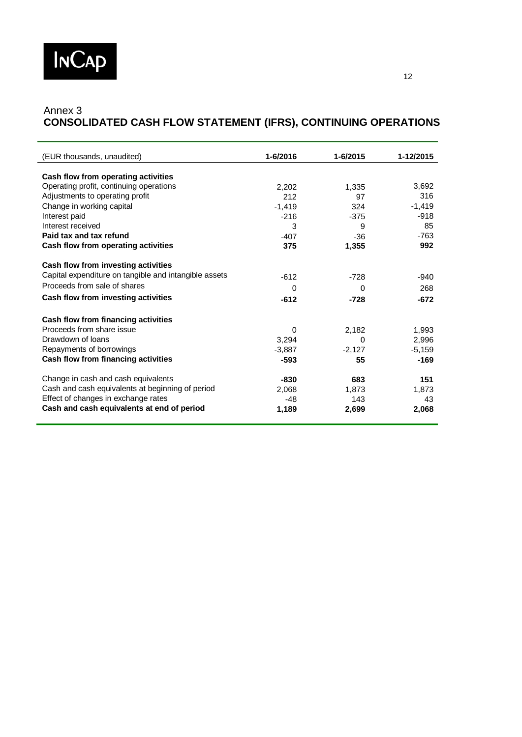

### Annex 3 **CONSOLIDATED CASH FLOW STATEMENT (IFRS), CONTINUING OPERATIONS**

| (EUR thousands, unaudited)                            | 1-6/2016 | 1-6/2015 | 1-12/2015 |
|-------------------------------------------------------|----------|----------|-----------|
| Cash flow from operating activities                   |          |          |           |
| Operating profit, continuing operations               | 2,202    | 1,335    | 3,692     |
| Adjustments to operating profit                       | 212      | 97       | 316       |
| Change in working capital                             | $-1.419$ | 324      | $-1,419$  |
| Interest paid                                         | $-216$   | $-375$   | $-918$    |
| Interest received                                     | 3        | 9        | 85        |
| Paid tax and tax refund                               | $-407$   | $-36$    | $-763$    |
| Cash flow from operating activities                   | 375      | 1,355    | 992       |
|                                                       |          |          |           |
| Cash flow from investing activities                   |          |          |           |
| Capital expenditure on tangible and intangible assets | $-612$   | $-728$   | $-940$    |
| Proceeds from sale of shares                          | $\Omega$ | $\Omega$ | 268       |
| Cash flow from investing activities                   |          |          |           |
|                                                       | $-612$   | $-728$   | $-672$    |
| Cash flow from financing activities                   |          |          |           |
| Proceeds from share issue                             | 0        | 2,182    | 1,993     |
| Drawdown of Ioans                                     | 3,294    | 0        | 2,996     |
| Repayments of borrowings                              | $-3.887$ | $-2,127$ | $-5,159$  |
| Cash flow from financing activities                   | $-593$   | 55       | $-169$    |
|                                                       |          |          |           |
| Change in cash and cash equivalents                   | $-830$   | 683      | 151       |
| Cash and cash equivalents at beginning of period      | 2,068    | 1.873    | 1.873     |
| Effect of changes in exchange rates                   | $-48$    | 143      | 43        |
| Cash and cash equivalents at end of period            | 1,189    | 2,699    | 2,068     |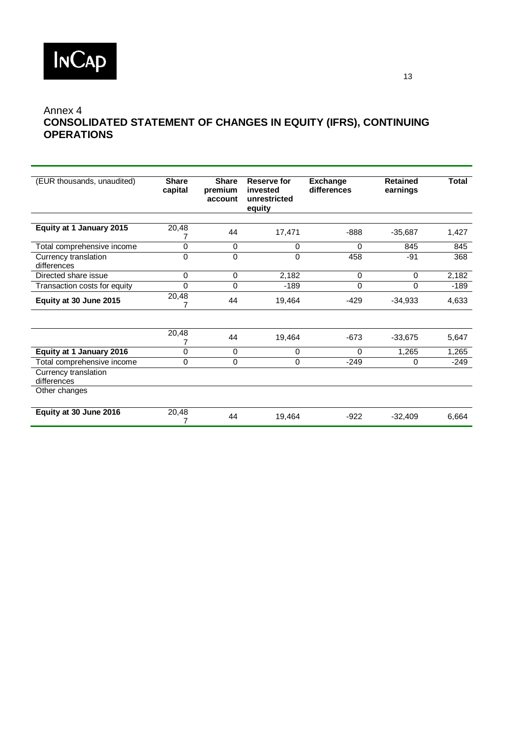

## Annex 4 **CONSOLIDATED STATEMENT OF CHANGES IN EQUITY (IFRS), CONTINUING OPERATIONS**

| (EUR thousands, unaudited)          | <b>Share</b><br>capital | <b>Share</b><br>premium<br>account | <b>Reserve for</b><br>invested<br>unrestricted<br>equity | <b>Exchange</b><br>differences | <b>Retained</b><br>earnings | <b>Total</b> |
|-------------------------------------|-------------------------|------------------------------------|----------------------------------------------------------|--------------------------------|-----------------------------|--------------|
| Equity at 1 January 2015            | 20,48                   | 44                                 | 17.471                                                   | $-888$                         | $-35,687$                   | 1,427        |
| Total comprehensive income          | 0                       | $\mathbf 0$                        | 0                                                        | 0                              | 845                         | 845          |
| Currency translation<br>differences | 0                       | $\Omega$                           | 0                                                        | 458                            | -91                         | 368          |
| Directed share issue                | $\mathbf 0$             | $\mathbf 0$                        | 2,182                                                    | $\Omega$                       | $\Omega$                    | 2,182        |
| Transaction costs for equity        | $\Omega$                | $\Omega$                           | $-189$                                                   | 0                              | $\Omega$                    | $-189$       |
| Equity at 30 June 2015              | 20,48                   | 44                                 | 19,464                                                   | $-429$                         | $-34,933$                   | 4,633        |
|                                     | 20,48                   | 44                                 | 19,464                                                   | $-673$                         | $-33,675$                   | 5,647        |
| Equity at 1 January 2016            | 0                       | $\mathbf 0$                        | 0                                                        | 0                              | 1,265                       | 1,265        |
| Total comprehensive income          | $\mathbf 0$             | $\mathbf 0$                        | 0                                                        | $-249$                         | 0                           | $-249$       |
| Currency translation<br>differences |                         |                                    |                                                          |                                |                             |              |
| Other changes                       |                         |                                    |                                                          |                                |                             |              |
| Equity at 30 June 2016              | 20,48                   | 44                                 | 19,464                                                   | $-922$                         | $-32.409$                   | 6,664        |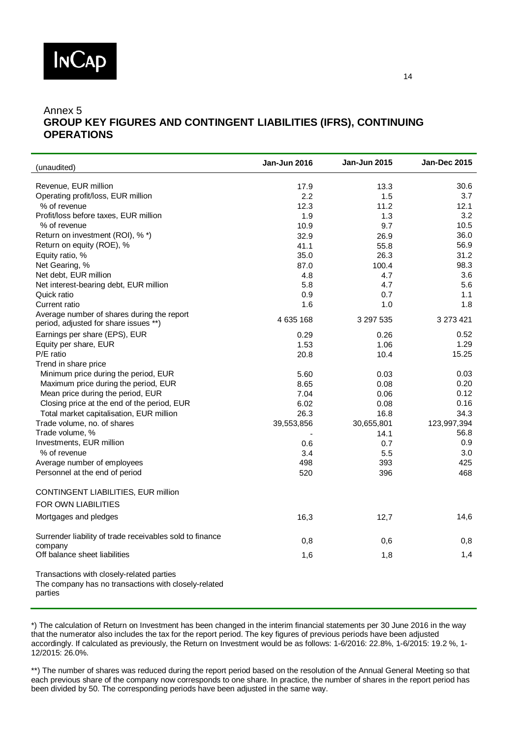

#### Annex 5 **GROUP KEY FIGURES AND CONTINGENT LIABILITIES (IFRS), CONTINUING OPERATIONS**

| (unaudited)                                                                                                  | Jan-Jun 2016 | Jan-Jun 2015 | <b>Jan-Dec 2015</b> |
|--------------------------------------------------------------------------------------------------------------|--------------|--------------|---------------------|
| Revenue, EUR million                                                                                         |              |              | 30.6                |
| Operating profit/loss, EUR million                                                                           | 17.9<br>2.2  | 13.3<br>1.5  | 3.7                 |
| % of revenue                                                                                                 | 12.3         | 11.2         | 12.1                |
| Profit/loss before taxes, EUR million                                                                        | 1.9          | 1.3          | 3.2                 |
| % of revenue                                                                                                 | 10.9         | 9.7          | 10.5                |
| Return on investment (ROI), % *)                                                                             | 32.9         | 26.9         | 36.0                |
| Return on equity (ROE), %                                                                                    | 41.1         | 55.8         | 56.9                |
| Equity ratio, %                                                                                              | 35.0         | 26.3         | 31.2                |
| Net Gearing, %                                                                                               | 87.0         | 100.4        | 98.3                |
| Net debt, EUR million                                                                                        | 4.8          | 4.7          | 3.6                 |
| Net interest-bearing debt, EUR million                                                                       | 5.8          | 4.7          | 5.6                 |
| Quick ratio                                                                                                  | 0.9          | 0.7          | 1.1                 |
| Current ratio                                                                                                | 1.6          | 1.0          | 1.8                 |
| Average number of shares during the report<br>period, adjusted for share issues **)                          | 4 635 168    | 3 297 535    | 3 273 421           |
| Earnings per share (EPS), EUR                                                                                | 0.29         | 0.26         | 0.52                |
| Equity per share, EUR                                                                                        | 1.53         | 1.06         | 1.29                |
| P/E ratio                                                                                                    | 20.8         | 10.4         | 15.25               |
| Trend in share price                                                                                         |              |              |                     |
| Minimum price during the period, EUR                                                                         | 5.60         | 0.03         | 0.03                |
| Maximum price during the period, EUR                                                                         | 8.65         | 0.08         | 0.20                |
| Mean price during the period, EUR                                                                            | 7.04         | 0.06         | 0.12                |
| Closing price at the end of the period, EUR                                                                  | 6.02         | 0.08         | 0.16                |
| Total market capitalisation, EUR million                                                                     | 26.3         | 16.8         | 34.3                |
| Trade volume, no. of shares                                                                                  | 39,553,856   | 30,655,801   | 123,997,394         |
| Trade volume, %                                                                                              |              | 14.1         | 56.8                |
| Investments, EUR million                                                                                     | 0.6          | 0.7          | 0.9                 |
| % of revenue                                                                                                 | 3.4          | 5.5          | 3.0                 |
| Average number of employees                                                                                  | 498          | 393          | 425                 |
| Personnel at the end of period                                                                               | 520          | 396          | 468                 |
|                                                                                                              |              |              |                     |
| CONTINGENT LIABILITIES, EUR million                                                                          |              |              |                     |
| FOR OWN LIABILITIES                                                                                          |              |              |                     |
| Mortgages and pledges                                                                                        | 16,3         | 12,7         | 14,6                |
| Surrender liability of trade receivables sold to finance                                                     | 0,8          | 0,6          | 0,8                 |
| company                                                                                                      |              |              |                     |
| Off balance sheet liabilities                                                                                | 1,6          | 1,8          | 1,4                 |
| Transactions with closely-related parties<br>The company has no transactions with closely-related<br>parties |              |              |                     |

\*) The calculation of Return on Investment has been changed in the interim financial statements per 30 June 2016 in the way that the numerator also includes the tax for the report period. The key figures of previous periods have been adjusted accordingly. If calculated as previously, the Return on Investment would be as follows: 1-6/2016: 22.8%, 1-6/2015: 19.2 %, 1- 12/2015: 26.0%.

\*\*) The number of shares was reduced during the report period based on the resolution of the Annual General Meeting so that each previous share of the company now corresponds to one share. In practice, the number of shares in the report period has been divided by 50. The corresponding periods have been adjusted in the same way.